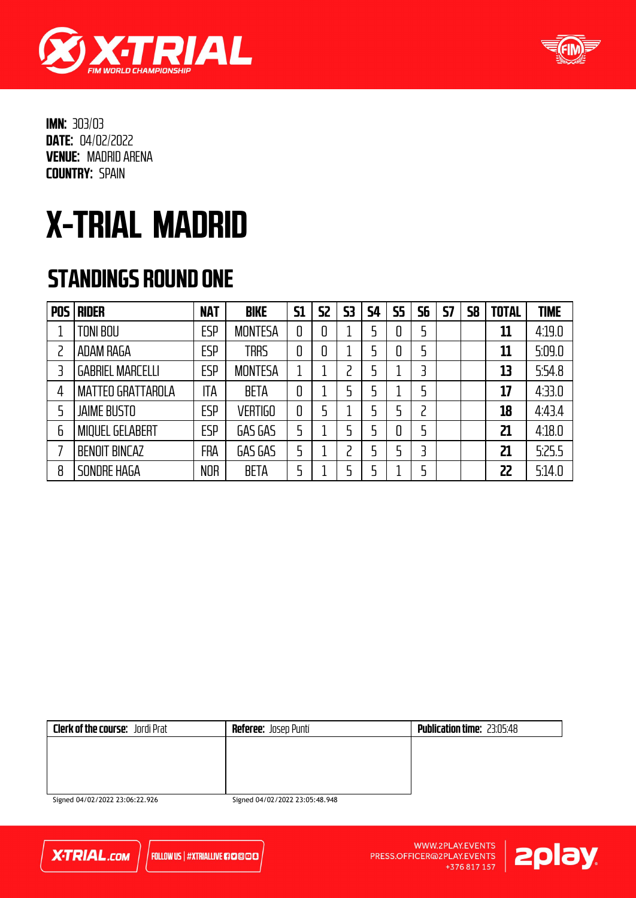



## X-TRIAL MADRID

#### STANDINGS ROUND ONE

| <b>POS</b> | <b>RIDER</b>             | <b>NAT</b> | <b>BIKE</b>    | <b>S1</b> | 52 | 53 | <b>S4</b> | <b>S5</b> | 56 | 57 | 58 | <b>TOTAL</b> | <b>TIME</b> |
|------------|--------------------------|------------|----------------|-----------|----|----|-----------|-----------|----|----|----|--------------|-------------|
|            | TONI BOU                 | <b>ESP</b> | <b>MONTESA</b> | 0         | 0  |    | 5         | 0         | 5  |    |    | 11           | 4:19.0      |
|            | ADAM RAGA                | <b>ESP</b> | <b>TRRS</b>    | 0         | 0  |    | 5         | 0         | 5  |    |    | 11           | 5:09.0      |
|            | <b>GABRIEL MARCELLI</b>  | <b>ESP</b> | <b>MONTESA</b> |           |    |    | 5         |           | 3  |    |    | 13           | 5:54.8      |
| 4          | <b>MATTEO GRATTAROLA</b> | ITA        | <b>BETA</b>    | 0         |    |    | 5         |           | 5  |    |    | 17           | 4:33.0      |
|            | <b>JAIME BUSTO</b>       | <b>ESP</b> | <b>VERTIGO</b> | 0         |    |    | 5         |           | 2  |    |    | 18           | 4:43.4      |
| 6          | <b>MIQUEL GELABERT</b>   | <b>ESP</b> | GAS GAS        |           |    |    | 5         | 0         | 5  |    |    | 21           | 4:18.0      |
|            | <b>BENOIT BINCAZ</b>     | <b>FRA</b> | GAS GAS        |           |    |    |           |           | 3  |    |    | 21           | 5:25.5      |
| 8          | SONDRE HAGA              | <b>NOR</b> | <b>BETA</b>    |           |    |    | 5         |           | 5  |    |    | 22           | 5:14.0      |

| <b>Clerk of the course:</b> Jordi Prat | <b>Referee:</b> Josep Puntí | <b>Publication time: 23:05:48</b> |
|----------------------------------------|-----------------------------|-----------------------------------|
|                                        |                             |                                   |
|                                        |                             |                                   |
|                                        |                             |                                   |
|                                        |                             |                                   |
| $\mathcal{L}$                          | $C = 10102222222222$        |                                   |

Signed 04/02/2022 23:06:22.926

Signed 04/02/2022 23:05:48.948



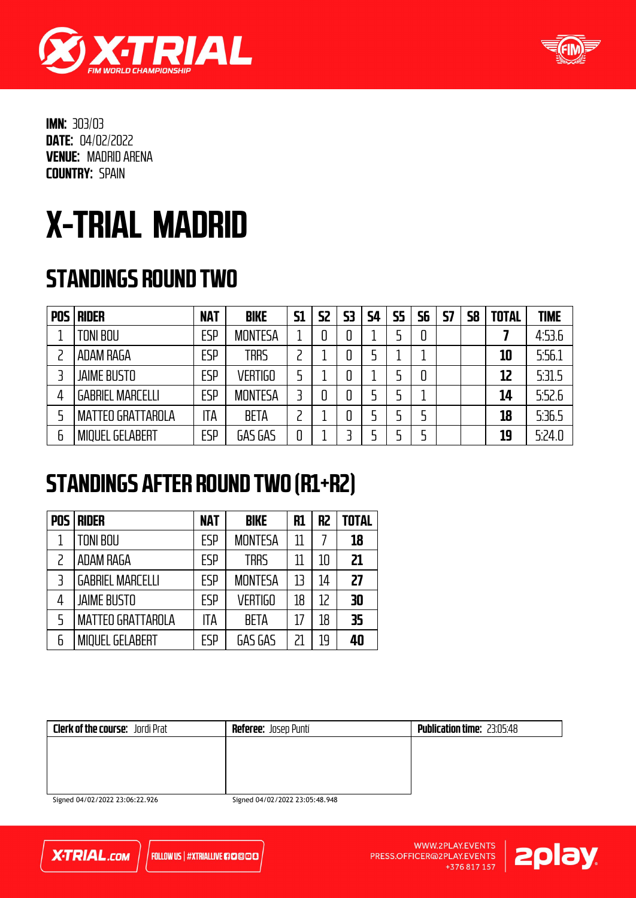



# X-TRIAL MADRID

### STANDINGS ROUND TWO

| <b>POS</b> | <b>RIDER</b>             | <b>NAT</b> | <b>BIKE</b>    | <b>S1</b> | S2 | 53 | <b>S4</b> | <b>S5</b> | 56 | <b>S7</b> | 58 | <b>TOTAL</b> | <b>TIME</b> |
|------------|--------------------------|------------|----------------|-----------|----|----|-----------|-----------|----|-----------|----|--------------|-------------|
|            | TONI BOU                 | <b>ESP</b> | <b>MONTESA</b> |           |    |    |           |           |    |           |    |              | 4:53.6      |
|            | ADAM RAGA                | <b>ESP</b> | <b>TRRS</b>    |           |    |    | 5         |           |    |           |    | 10           | 5:56.1      |
|            | <b>JAIME BUSTO</b>       | <b>ESP</b> | <b>VERTIGO</b> |           |    |    |           |           | 0  |           |    | 12           | 5:31.5      |
|            | <b>GABRIEL MARCELLI</b>  | <b>ESP</b> | <b>MONTESA</b> |           |    |    | 5         |           |    |           |    | 14           | 5:52.6      |
|            | <b>MATTEO GRATTAROLA</b> | ITA        | <b>BETA</b>    |           |    |    |           |           |    |           |    | 18           | 5:36.5      |
| 6          | <b>MIQUEL GELABERT</b>   | <b>ESP</b> | GAS GAS        | 0         |    |    |           |           |    |           |    | 19           | 5:24.0      |

#### STANDINGS AFTER ROUND TWO (R1+R2)

| <b>POS</b> | <b>RIDER</b>             | <b>NAT</b> | <b>BIKE</b>    | R1 | R <sub>2</sub> | <b>TOTAL</b> |
|------------|--------------------------|------------|----------------|----|----------------|--------------|
|            | <b>TONI BOU</b>          | <b>FSP</b> | <b>MONTESA</b> | 11 |                | 18           |
|            | <b>ADAM RAGA</b>         | <b>ESP</b> | <b>TRRS</b>    |    | 10             | 21           |
| 3          | <b>GABRIEL MARCELLI</b>  | <b>ESP</b> | <b>MONTESA</b> | 13 | 14             | 27           |
| 4          | <b>JAIME BUSTO</b>       | <b>ESP</b> | <b>VERTIGO</b> | 18 | 12             | 30           |
| 5          | <b>MATTEO GRATTAROLA</b> | ITA        | <b>BETA</b>    | 17 | 18             | 35           |
| 6          | <b>MIQUEL GELABERT</b>   | ESP        | GAS GAS        |    | 19             | 40           |

| <b>Clerk of the course:</b> Jordi Prat | <b>Referee:</b> Josep Puntí    | <b>Publication time: 23:05:48</b> |
|----------------------------------------|--------------------------------|-----------------------------------|
|                                        |                                |                                   |
|                                        |                                |                                   |
|                                        |                                |                                   |
| Signed 04/02/2022 23:06:22.926         | Signed 04/02/2022 23:05:48.948 |                                   |

**X-TRIAL.com** 

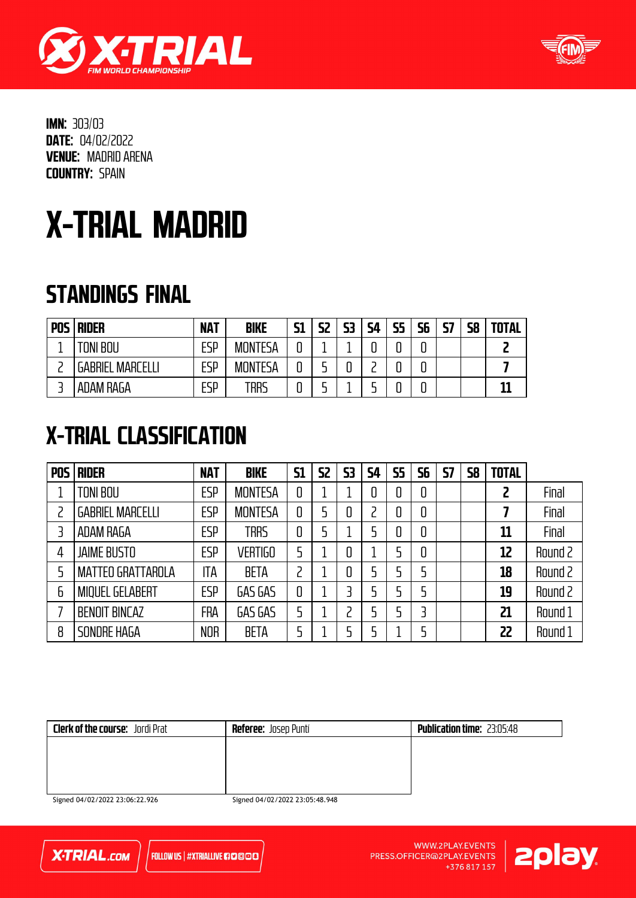



## X-TRIAL MADRID

#### STANDINGS FINAL

| <b>POS</b> | <b>RIDER</b>            | <b>NAT</b> | <b>BIKE</b>    | C1<br>JI | C)<br>▃▖▃ | 53 | 54 | <b>S5</b> | <b>S6</b> | <b>S7</b> | 58 | <b>TOTAL</b> |
|------------|-------------------------|------------|----------------|----------|-----------|----|----|-----------|-----------|-----------|----|--------------|
|            | TONI BOU                | ESP        | <b>MONTESA</b> | u        |           |    |    |           |           |           |    |              |
|            | <b>GABRIEL MARCELLI</b> | ESP        | <b>MONTESA</b> |          |           |    |    |           |           |           |    |              |
|            | ADAM RAGA               | ESP        | trrs           |          |           |    |    |           |           |           |    |              |

### X-TRIAL CLASSIFICATION

| <b>POS</b> | <b>RIDER</b>             | <b>NAT</b> | <b>BIKE</b>    | <b>S1</b> | <b>S2</b> | 53 | 54 | <b>S5</b> | 56 | <b>S7</b> | 58 | <b>TOTAL</b>   |         |
|------------|--------------------------|------------|----------------|-----------|-----------|----|----|-----------|----|-----------|----|----------------|---------|
|            | TONI BOU                 | <b>ESP</b> | <b>MONTESA</b> | 0         |           |    | 0  | 0         | 0  |           |    | $\overline{c}$ | Final   |
|            | <b>GABRIEL MARCELLI</b>  | <b>ESP</b> | <b>MONTESA</b> | 0         |           | 0  |    | 0         | 0  |           |    |                | Final   |
|            | <b>ADAM RAGA</b>         | <b>ESP</b> | <b>TRRS</b>    | 0         |           |    |    | 0         | 0  |           |    | 11             | Final   |
| 4          | <b>JAIME BUSTO</b>       | ESP        | <b>VERTIGO</b> | 5         |           | 0  |    |           | 0  |           |    | 12             | Round 2 |
| 5          | <b>MATTEO GRATTAROLA</b> | ITA        | <b>BETA</b>    | っ         |           | 0  |    |           | 5  |           |    | 18             | Round 2 |
| 6          | <b>MIQUEL GELABERT</b>   | <b>ESP</b> | GAS GAS        | 0         |           | 3  |    |           | 5  |           |    | 19             | Round 2 |
|            | <b>BENOIT BINCAZ</b>     | FRA        | GAS GAS        | 5         |           | っ  |    |           | 3  |           |    | 21             | Round 1 |
| 8          | SONDRE HAGA              | <b>NOR</b> | <b>BETA</b>    |           |           | 5  |    |           | 5  |           |    | 22             | Round 1 |

| <b>Clerk of the course:</b> Jordi Prat | <b>Referee:</b> Josep Puntí | <b>Publication time: 23:05:48</b> |
|----------------------------------------|-----------------------------|-----------------------------------|
|                                        |                             |                                   |
|                                        |                             |                                   |
|                                        |                             |                                   |
| $C_{1} = 101/02/002220.06.0200$        | $C = 10102222222222$        |                                   |

Signed 04/02/2022 23:06:22.926

Signed 04/02/2022 23:05:48.948